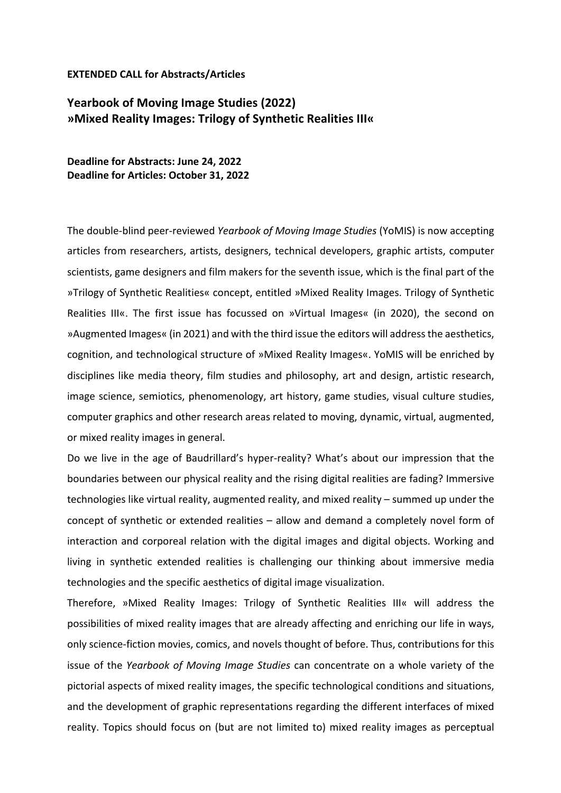## **EXTENDED CALL for Abstracts/Articles**

## **Yearbook of Moving Image Studies (2022) »Mixed Reality Images: Trilogy of Synthetic Realities III«**

**Deadline for Abstracts: June 24, 2022 Deadline for Articles: October 31, 2022**

The double-blind peer-reviewed *Yearbook of Moving Image Studies* (YoMIS) is now accepting articles from researchers, artists, designers, technical developers, graphic artists, computer scientists, game designers and film makers for the seventh issue, which is the final part of the »Trilogy of Synthetic Realities« concept, entitled »Mixed Reality Images. Trilogy of Synthetic Realities III«. The first issue has focussed on »Virtual Images« (in 2020), the second on »Augmented Images« (in 2021) and with the third issue the editors will address the aesthetics, cognition, and technological structure of »Mixed Reality Images«. YoMIS will be enriched by disciplines like media theory, film studies and philosophy, art and design, artistic research, image science, semiotics, phenomenology, art history, game studies, visual culture studies, computer graphics and other research areas related to moving, dynamic, virtual, augmented, or mixed reality images in general.

Do we live in the age of Baudrillard's hyper-reality? What's about our impression that the boundaries between our physical reality and the rising digital realities are fading? Immersive technologies like virtual reality, augmented reality, and mixed reality – summed up under the concept of synthetic or extended realities – allow and demand a completely novel form of interaction and corporeal relation with the digital images and digital objects. Working and living in synthetic extended realities is challenging our thinking about immersive media technologies and the specific aesthetics of digital image visualization.

Therefore, »Mixed Reality Images: Trilogy of Synthetic Realities III« will address the possibilities of mixed reality images that are already affecting and enriching our life in ways, only science-fiction movies, comics, and novels thought of before. Thus, contributions for this issue of the *Yearbook of Moving Image Studies* can concentrate on a whole variety of the pictorial aspects of mixed reality images, the specific technological conditions and situations, and the development of graphic representations regarding the different interfaces of mixed reality. Topics should focus on (but are not limited to) mixed reality images as perceptual